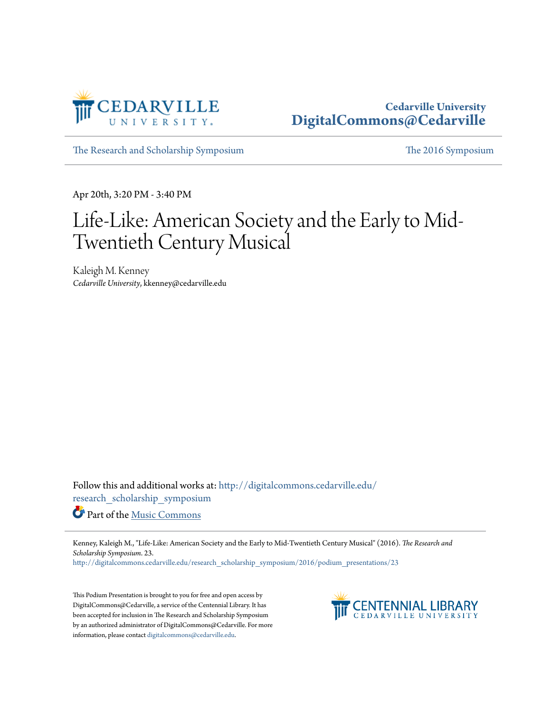

## **Cedarville University [DigitalCommons@Cedarville](http://digitalcommons.cedarville.edu?utm_source=digitalcommons.cedarville.edu%2Fresearch_scholarship_symposium%2F2016%2Fpodium_presentations%2F23&utm_medium=PDF&utm_campaign=PDFCoverPages)**

[The Research and Scholarship Symposium](http://digitalcommons.cedarville.edu/research_scholarship_symposium?utm_source=digitalcommons.cedarville.edu%2Fresearch_scholarship_symposium%2F2016%2Fpodium_presentations%2F23&utm_medium=PDF&utm_campaign=PDFCoverPages) [The 2016 Symposium](http://digitalcommons.cedarville.edu/research_scholarship_symposium/2016?utm_source=digitalcommons.cedarville.edu%2Fresearch_scholarship_symposium%2F2016%2Fpodium_presentations%2F23&utm_medium=PDF&utm_campaign=PDFCoverPages)

Apr 20th, 3:20 PM - 3:40 PM

## Life-Like: American Society and the Early to Mid-Twentieth Century Musical

Kaleigh M. Kenney *Cedarville University*, kkenney@cedarville.edu

Follow this and additional works at: [http://digitalcommons.cedarville.edu/](http://digitalcommons.cedarville.edu/research_scholarship_symposium?utm_source=digitalcommons.cedarville.edu%2Fresearch_scholarship_symposium%2F2016%2Fpodium_presentations%2F23&utm_medium=PDF&utm_campaign=PDFCoverPages) [research\\_scholarship\\_symposium](http://digitalcommons.cedarville.edu/research_scholarship_symposium?utm_source=digitalcommons.cedarville.edu%2Fresearch_scholarship_symposium%2F2016%2Fpodium_presentations%2F23&utm_medium=PDF&utm_campaign=PDFCoverPages)

Part of the [Music Commons](http://network.bepress.com/hgg/discipline/518?utm_source=digitalcommons.cedarville.edu%2Fresearch_scholarship_symposium%2F2016%2Fpodium_presentations%2F23&utm_medium=PDF&utm_campaign=PDFCoverPages)

Kenney, Kaleigh M., "Life-Like: American Society and the Early to Mid-Twentieth Century Musical" (2016). *The Research and Scholarship Symposium*. 23.

[http://digitalcommons.cedarville.edu/research\\_scholarship\\_symposium/2016/podium\\_presentations/23](http://digitalcommons.cedarville.edu/research_scholarship_symposium/2016/podium_presentations/23?utm_source=digitalcommons.cedarville.edu%2Fresearch_scholarship_symposium%2F2016%2Fpodium_presentations%2F23&utm_medium=PDF&utm_campaign=PDFCoverPages)

This Podium Presentation is brought to you for free and open access by DigitalCommons@Cedarville, a service of the Centennial Library. It has been accepted for inclusion in The Research and Scholarship Symposium by an authorized administrator of DigitalCommons@Cedarville. For more information, please contact [digitalcommons@cedarville.edu.](mailto:digitalcommons@cedarville.edu)

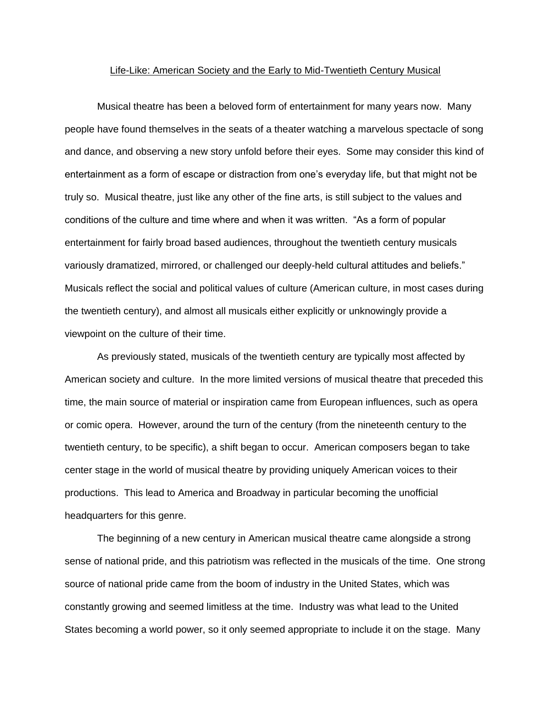## Life-Like: American Society and the Early to Mid-Twentieth Century Musical

Musical theatre has been a beloved form of entertainment for many years now. Many people have found themselves in the seats of a theater watching a marvelous spectacle of song and dance, and observing a new story unfold before their eyes. Some may consider this kind of entertainment as a form of escape or distraction from one's everyday life, but that might not be truly so. Musical theatre, just like any other of the fine arts, is still subject to the values and conditions of the culture and time where and when it was written. "As a form of popular entertainment for fairly broad based audiences, throughout the twentieth century musicals variously dramatized, mirrored, or challenged our deeply-held cultural attitudes and beliefs." Musicals reflect the social and political values of culture (American culture, in most cases during the twentieth century), and almost all musicals either explicitly or unknowingly provide a viewpoint on the culture of their time.

As previously stated, musicals of the twentieth century are typically most affected by American society and culture. In the more limited versions of musical theatre that preceded this time, the main source of material or inspiration came from European influences, such as opera or comic opera. However, around the turn of the century (from the nineteenth century to the twentieth century, to be specific), a shift began to occur. American composers began to take center stage in the world of musical theatre by providing uniquely American voices to their productions. This lead to America and Broadway in particular becoming the unofficial headquarters for this genre.

The beginning of a new century in American musical theatre came alongside a strong sense of national pride, and this patriotism was reflected in the musicals of the time. One strong source of national pride came from the boom of industry in the United States, which was constantly growing and seemed limitless at the time. Industry was what lead to the United States becoming a world power, so it only seemed appropriate to include it on the stage. Many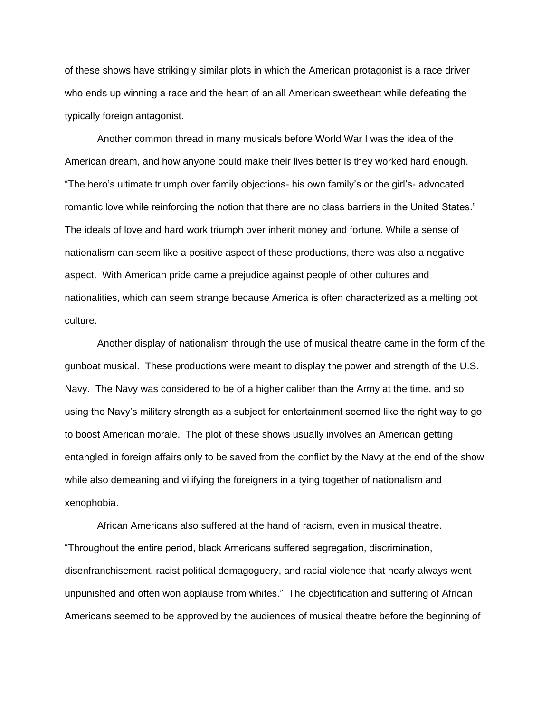of these shows have strikingly similar plots in which the American protagonist is a race driver who ends up winning a race and the heart of an all American sweetheart while defeating the typically foreign antagonist.

Another common thread in many musicals before World War I was the idea of the American dream, and how anyone could make their lives better is they worked hard enough. "The hero's ultimate triumph over family objections- his own family's or the girl's- advocated romantic love while reinforcing the notion that there are no class barriers in the United States." The ideals of love and hard work triumph over inherit money and fortune. While a sense of nationalism can seem like a positive aspect of these productions, there was also a negative aspect. With American pride came a prejudice against people of other cultures and nationalities, which can seem strange because America is often characterized as a melting pot culture.

Another display of nationalism through the use of musical theatre came in the form of the gunboat musical. These productions were meant to display the power and strength of the U.S. Navy. The Navy was considered to be of a higher caliber than the Army at the time, and so using the Navy's military strength as a subject for entertainment seemed like the right way to go to boost American morale. The plot of these shows usually involves an American getting entangled in foreign affairs only to be saved from the conflict by the Navy at the end of the show while also demeaning and vilifying the foreigners in a tying together of nationalism and xenophobia.

African Americans also suffered at the hand of racism, even in musical theatre. "Throughout the entire period, black Americans suffered segregation, discrimination, disenfranchisement, racist political demagoguery, and racial violence that nearly always went unpunished and often won applause from whites." The objectification and suffering of African Americans seemed to be approved by the audiences of musical theatre before the beginning of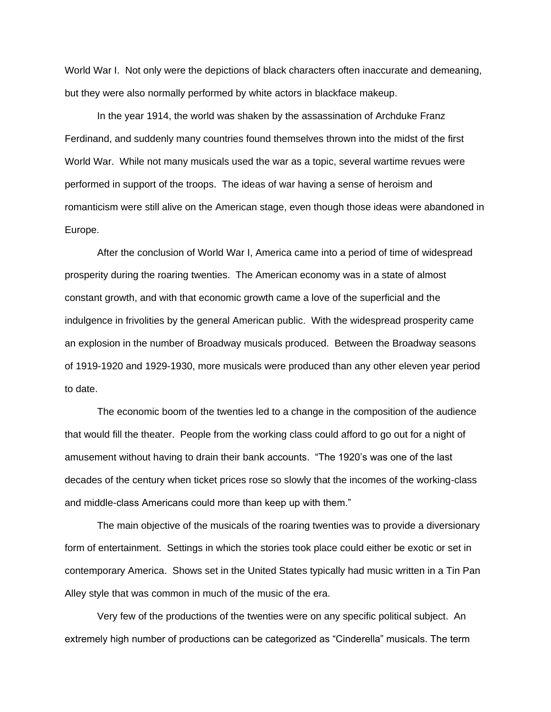World War I. Not only were the depictions of black characters often inaccurate and demeaning, but they were also normally performed by white actors in blackface makeup.

In the year 1914, the world was shaken by the assassination of Archduke Franz Ferdinand, and suddenly many countries found themselves thrown into the midst of the first World War. While not many musicals used the war as a topic, several wartime revues were performed in support of the troops. The ideas of war having a sense of heroism and romanticism were still alive on the American stage, even though those ideas were abandoned in Europe.

After the conclusion of World War I, America came into a period of time of widespread prosperity during the roaring twenties. The American economy was in a state of almost constant growth, and with that economic growth came a love of the superficial and the indulgence in frivolities by the general American public. With the widespread prosperity came an explosion in the number of Broadway musicals produced. Between the Broadway seasons of 1919-1920 and 1929-1930, more musicals were produced than any other eleven year period to date.

The economic boom of the twenties led to a change in the composition of the audience that would fill the theater. People from the working class could afford to go out for a night of amusement without having to drain their bank accounts. "The 1920's was one of the last decades of the century when ticket prices rose so slowly that the incomes of the working-class and middle-class Americans could more than keep up with them."

The main objective of the musicals of the roaring twenties was to provide a diversionary form of entertainment. Settings in which the stories took place could either be exotic or set in contemporary America. Shows set in the United States typically had music written in a Tin Pan Alley style that was common in much of the music of the era.

Very few of the productions of the twenties were on any specific political subject. An extremely high number of productions can be categorized as "Cinderella" musicals. The term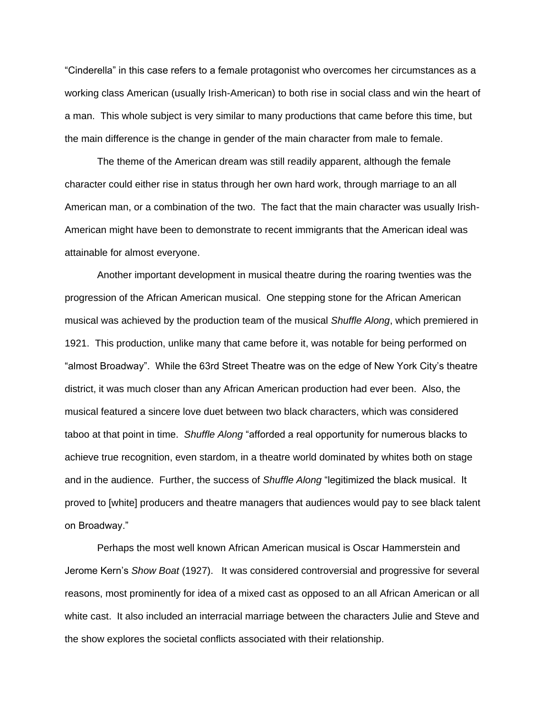"Cinderella" in this case refers to a female protagonist who overcomes her circumstances as a working class American (usually Irish-American) to both rise in social class and win the heart of a man. This whole subject is very similar to many productions that came before this time, but the main difference is the change in gender of the main character from male to female.

The theme of the American dream was still readily apparent, although the female character could either rise in status through her own hard work, through marriage to an all American man, or a combination of the two. The fact that the main character was usually Irish-American might have been to demonstrate to recent immigrants that the American ideal was attainable for almost everyone.

Another important development in musical theatre during the roaring twenties was the progression of the African American musical. One stepping stone for the African American musical was achieved by the production team of the musical *Shuffle Along*, which premiered in 1921. This production, unlike many that came before it, was notable for being performed on "almost Broadway". While the 63rd Street Theatre was on the edge of New York City's theatre district, it was much closer than any African American production had ever been. Also, the musical featured a sincere love duet between two black characters, which was considered taboo at that point in time. *Shuffle Along* "afforded a real opportunity for numerous blacks to achieve true recognition, even stardom, in a theatre world dominated by whites both on stage and in the audience. Further, the success of *Shuffle Along* "legitimized the black musical. It proved to [white] producers and theatre managers that audiences would pay to see black talent on Broadway."

Perhaps the most well known African American musical is Oscar Hammerstein and Jerome Kern's *Show Boat* (1927). It was considered controversial and progressive for several reasons, most prominently for idea of a mixed cast as opposed to an all African American or all white cast. It also included an interracial marriage between the characters Julie and Steve and the show explores the societal conflicts associated with their relationship.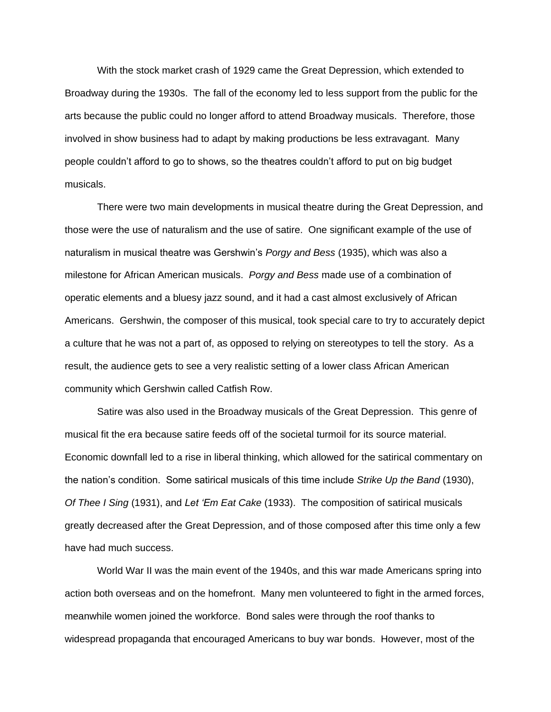With the stock market crash of 1929 came the Great Depression, which extended to Broadway during the 1930s. The fall of the economy led to less support from the public for the arts because the public could no longer afford to attend Broadway musicals. Therefore, those involved in show business had to adapt by making productions be less extravagant. Many people couldn't afford to go to shows, so the theatres couldn't afford to put on big budget musicals.

There were two main developments in musical theatre during the Great Depression, and those were the use of naturalism and the use of satire. One significant example of the use of naturalism in musical theatre was Gershwin's *Porgy and Bess* (1935), which was also a milestone for African American musicals. *Porgy and Bess* made use of a combination of operatic elements and a bluesy jazz sound, and it had a cast almost exclusively of African Americans. Gershwin, the composer of this musical, took special care to try to accurately depict a culture that he was not a part of, as opposed to relying on stereotypes to tell the story. As a result, the audience gets to see a very realistic setting of a lower class African American community which Gershwin called Catfish Row.

Satire was also used in the Broadway musicals of the Great Depression. This genre of musical fit the era because satire feeds off of the societal turmoil for its source material. Economic downfall led to a rise in liberal thinking, which allowed for the satirical commentary on the nation's condition. Some satirical musicals of this time include *Strike Up the Band* (1930), *Of Thee I Sing* (1931), and *Let 'Em Eat Cake* (1933). The composition of satirical musicals greatly decreased after the Great Depression, and of those composed after this time only a few have had much success.

World War II was the main event of the 1940s, and this war made Americans spring into action both overseas and on the homefront. Many men volunteered to fight in the armed forces, meanwhile women joined the workforce. Bond sales were through the roof thanks to widespread propaganda that encouraged Americans to buy war bonds. However, most of the